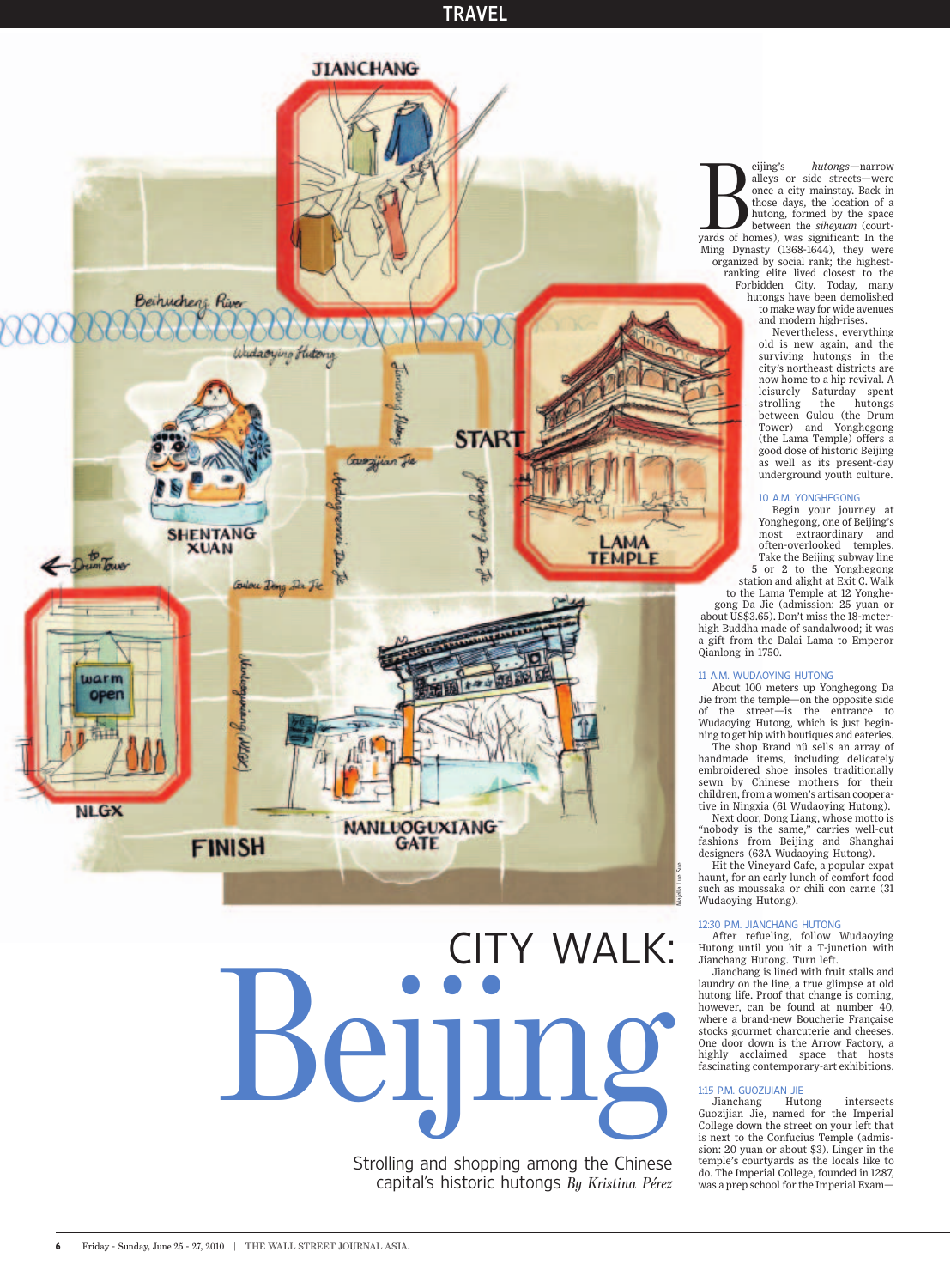### **TRAVEL**



# **CITY WALK:** CITY WALKS Strolling and shopping among the Chinese<br>capital's historic hutongs *By Kristina Pérez*<br>10 | THE WALL STREET JOURNAL ASIA.

capital's historic hutongs *By Kristina Pérez* 

yards of homes), was significant: In the Ming Dynasty (1368-1644), they were organized by social rank; the highest-ranking elite lived closest to the Forbidden City. Today, many hutongs have been demolished to make way for eijing's *hutongs*—narrow alleys or side streets—were once a city mainstay. Back in those days, the location of a hutong, formed by the space between the *siheyuan* (court-Ming Dynasty (1368-1644), they were organized by social rank; the highestranking elite lived closest to the Forbidden City. Today, many hutongs have been demolished to make way for wide avenues and modern high-rises.

Nevertheless, everything old is new again, and the surviving hutongs in the city's northeast districts are now home to a hip revival. A leisurely Saturday spent strolling the hutongs between Gulou (the Drum Tower) and Yonghegong (the Lama Temple) offers a good dose of historic Beijing as well as its present-day underground youth culture.

#### 10 A.M. YONGHEGONG

Begin your journey at Yonghegong, one of Beijing's most extraordinary and often-overlooked temples. Take the Beijing subway line 5 or 2 to the Yonghegong station and alight at Exit C. Walk

to the Lama Temple at 12 Yonghegong Da Jie (admission: 25 yuan or about US\$3.65). Don't miss the 18-meterhigh Buddha made of sandalwood; it was a gift from the Dalai Lama to Emperor Qianlong in 1750.

#### 11 A.M. WUDAOYING HUTONG

About 100 meters up Yonghegong Da Jie from the temple—on the opposite side of the street—is the entrance to Wudaoying Hutong, which is just beginning to get hip with boutiques and eateries.

The shop Brand nü sells an array of handmade items, including delicately embroidered shoe insoles traditionally sewn by Chinese mothers for their children, from a women's artisan cooperative in Ningxia (61 Wudaoying Hutong).

Next door, Dong Liang, whose motto is "nobody is the same," carries well-cut fashions from Beijing and Shanghai designers (63A Wudaoying Hutong).

Hit the Vineyard Cafe, a popular expat haunt, for an early lunch of comfort food such as moussaka or chili con carne (31) Wudaoying Hutong).

#### 12:30 P.M. JIANCHANG HUTONG

After refueling, follow Wudaoying Hutong until you hit a T-junction with Jianchang Hutong. Turn left.

Jianchang is lined with fruit stalls and laundry on the line, a true glimpse at old hutong life. Proof that change is coming, however, can be found at number 40, where a brand-new Boucherie Française stocks gourmet charcuterie and cheeses. One door down is the Arrow Factory, a highly acclaimed space that hosts fascinating contemporary-art exhibitions.

## 1:15 P.M. GUOZIJIAN JIE

Jianchang Hutong intersects Guozijian Jie, named for the Imperial College down the street on your left that is next to the Confucius Temple (admission: 20 yuan or about \$3). Linger in the temple's courtyards as the locals like to do. The Imperial College, founded in 1287, was a prep school for the Imperial Exam